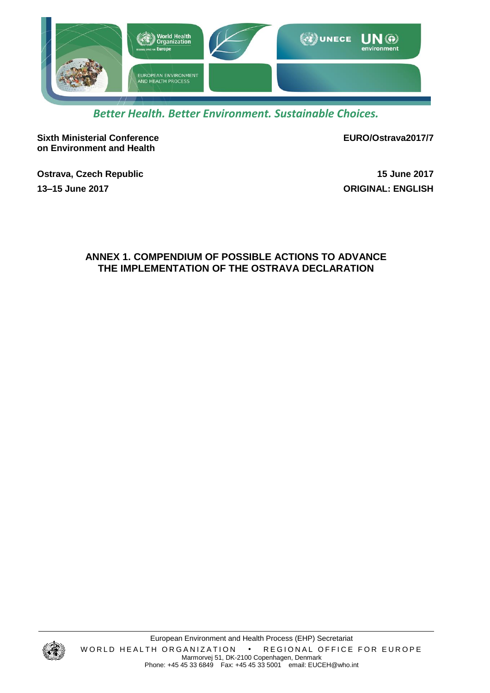

# *Better Health. Better Environment. Sustainable Choices.*

**Sixth Ministerial Conference on Environment and Health**

**EURO/Ostrava2017/7**

**Ostrava, Czech Republic 15 June 2017 13–15 June 2017 ORIGINAL: ENGLISH**

# **ANNEX 1. COMPENDIUM OF POSSIBLE ACTIONS TO ADVANCE THE IMPLEMENTATION OF THE OSTRAVA DECLARATION**

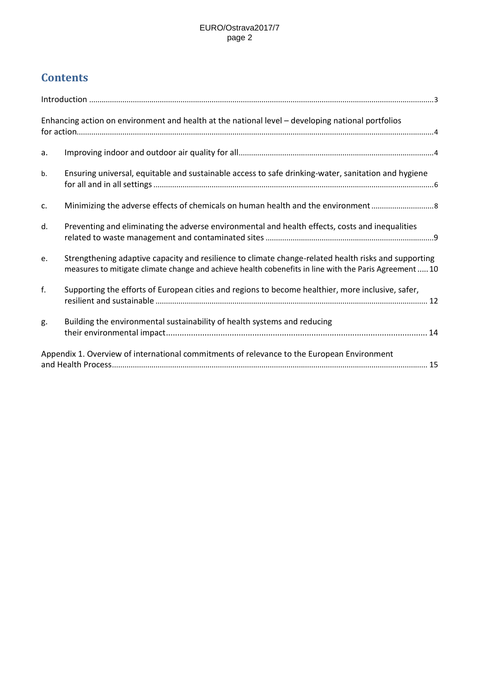# **Contents**

|    | Enhancing action on environment and health at the national level - developing national portfolios                                                                                                              |  |
|----|----------------------------------------------------------------------------------------------------------------------------------------------------------------------------------------------------------------|--|
| a. |                                                                                                                                                                                                                |  |
| b. | Ensuring universal, equitable and sustainable access to safe drinking-water, sanitation and hygiene                                                                                                            |  |
| c. |                                                                                                                                                                                                                |  |
| d. | Preventing and eliminating the adverse environmental and health effects, costs and inequalities                                                                                                                |  |
| e. | Strengthening adaptive capacity and resilience to climate change-related health risks and supporting<br>measures to mitigate climate change and achieve health cobenefits in line with the Paris Agreement  10 |  |
| f. | Supporting the efforts of European cities and regions to become healthier, more inclusive, safer,                                                                                                              |  |
| g. | Building the environmental sustainability of health systems and reducing                                                                                                                                       |  |
|    | Appendix 1. Overview of international commitments of relevance to the European Environment                                                                                                                     |  |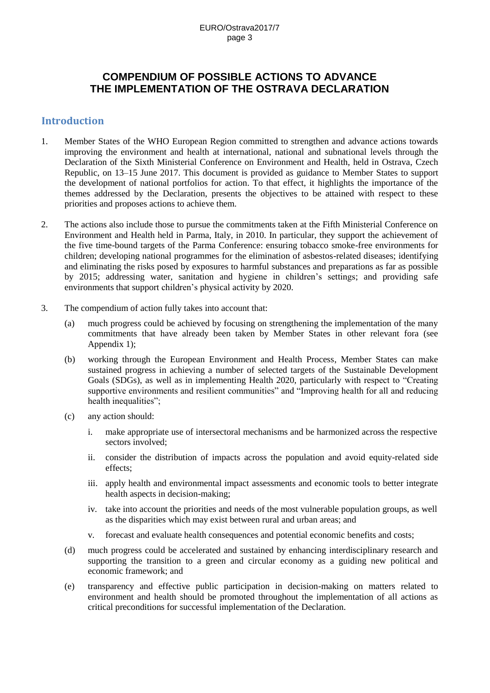# **COMPENDIUM OF POSSIBLE ACTIONS TO ADVANCE THE IMPLEMENTATION OF THE OSTRAVA DECLARATION**

### **Introduction**

- 1. Member States of the WHO European Region committed to strengthen and advance actions towards improving the environment and health at international, national and subnational levels through the Declaration of the Sixth Ministerial Conference on Environment and Health, held in Ostrava, Czech Republic, on 13–15 June 2017. This document is provided as guidance to Member States to support the development of national portfolios for action. To that effect, it highlights the importance of the themes addressed by the Declaration, presents the objectives to be attained with respect to these priorities and proposes actions to achieve them.
- 2. The actions also include those to pursue the commitments taken at the Fifth Ministerial Conference on Environment and Health held in Parma, Italy, in 2010. In particular, they support the achievement of the five time-bound targets of the Parma Conference: ensuring tobacco smoke-free environments for children; developing national programmes for the elimination of asbestos-related diseases; identifying and eliminating the risks posed by exposures to harmful substances and preparations as far as possible by 2015; addressing water, sanitation and hygiene in children's settings; and providing safe environments that support children's physical activity by 2020.
- 3. The compendium of action fully takes into account that:
	- (a) much progress could be achieved by focusing on strengthening the implementation of the many commitments that have already been taken by Member States in other relevant fora (see Appendix 1);
	- (b) working through the European Environment and Health Process, Member States can make sustained progress in achieving a number of selected targets of the Sustainable Development Goals (SDGs), as well as in implementing Health 2020, particularly with respect to "Creating supportive environments and resilient communities" and "Improving health for all and reducing health inequalities";
	- (c) any action should:
		- i. make appropriate use of intersectoral mechanisms and be harmonized across the respective sectors involved;
		- ii. consider the distribution of impacts across the population and avoid equity-related side effects;
		- iii. apply health and environmental impact assessments and economic tools to better integrate health aspects in decision-making;
		- iv. take into account the priorities and needs of the most vulnerable population groups, as well as the disparities which may exist between rural and urban areas; and
		- v. forecast and evaluate health consequences and potential economic benefits and costs;
	- (d) much progress could be accelerated and sustained by enhancing interdisciplinary research and supporting the transition to a green and circular economy as a guiding new political and economic framework; and
	- (e) transparency and effective public participation in decision-making on matters related to environment and health should be promoted throughout the implementation of all actions as critical preconditions for successful implementation of the Declaration.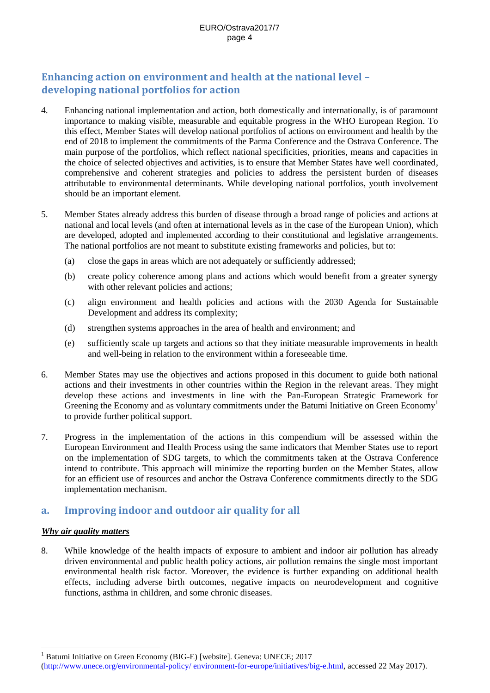# **Enhancing action on environment and health at the national level – developing national portfolios for action**

- 4. Enhancing national implementation and action, both domestically and internationally, is of paramount importance to making visible, measurable and equitable progress in the WHO European Region. To this effect, Member States will develop national portfolios of actions on environment and health by the end of 2018 to implement the commitments of the Parma Conference and the Ostrava Conference. The main purpose of the portfolios, which reflect national specificities, priorities, means and capacities in the choice of selected objectives and activities, is to ensure that Member States have well coordinated, comprehensive and coherent strategies and policies to address the persistent burden of diseases attributable to environmental determinants. While developing national portfolios, youth involvement should be an important element.
- 5. Member States already address this burden of disease through a broad range of policies and actions at national and local levels (and often at international levels as in the case of the European Union), which are developed, adopted and implemented according to their constitutional and legislative arrangements. The national portfolios are not meant to substitute existing frameworks and policies, but to:
	- (a) close the gaps in areas which are not adequately or sufficiently addressed;
	- (b) create policy coherence among plans and actions which would benefit from a greater synergy with other relevant policies and actions;
	- (c) align environment and health policies and actions with the 2030 Agenda for Sustainable Development and address its complexity;
	- (d) strengthen systems approaches in the area of health and environment; and
	- (e) sufficiently scale up targets and actions so that they initiate measurable improvements in health and well-being in relation to the environment within a foreseeable time.
- 6. Member States may use the objectives and actions proposed in this document to guide both national actions and their investments in other countries within the Region in the relevant areas. They might develop these actions and investments in line with the Pan-European Strategic Framework for Greening the Economy and as voluntary commitments under the Batumi Initiative on Green Economy<sup>1</sup> to provide further political support.
- 7. Progress in the implementation of the actions in this compendium will be assessed within the European Environment and Health Process using the same indicators that Member States use to report on the implementation of SDG targets, to which the commitments taken at the Ostrava Conference intend to contribute. This approach will minimize the reporting burden on the Member States, allow for an efficient use of resources and anchor the Ostrava Conference commitments directly to the SDG implementation mechanism.

# **a. Improving indoor and outdoor air quality for all**

#### *Why air quality matters*

 $\overline{a}$ 

8. While knowledge of the health impacts of exposure to ambient and indoor air pollution has already driven environmental and public health policy actions, air pollution remains the single most important environmental health risk factor. Moreover, the evidence is further expanding on additional health effects, including adverse birth outcomes, negative impacts on neurodevelopment and cognitive functions, asthma in children, and some chronic diseases.

Batumi Initiative on Green Economy (BIG-E) [website]. Geneva: UNECE; 2017

[<sup>\(</sup>http://www.unece.org/environmental-policy/ environment-for-europe/initiatives/big-e.html,](http://www.unece.org/environmental-policy/%20environment-for-europe/initiatives/big-e.html) accessed 22 May 2017).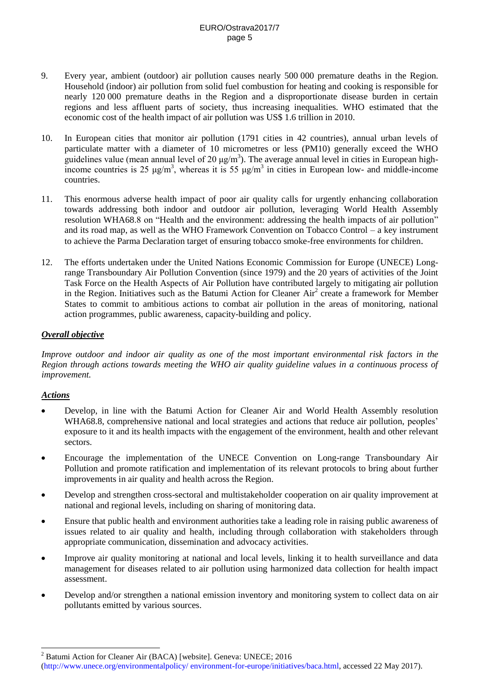- 9. Every year, ambient (outdoor) air pollution causes nearly 500 000 premature deaths in the Region. Household (indoor) air pollution from solid fuel combustion for heating and cooking is responsible for nearly 120 000 premature deaths in the Region and a disproportionate disease burden in certain regions and less affluent parts of society, thus increasing inequalities. WHO estimated that the economic cost of the health impact of air pollution was US\$ 1.6 trillion in 2010.
- 10. In European cities that monitor air pollution (1791 cities in 42 countries), annual urban levels of particulate matter with a diameter of 10 micrometres or less (PM10) generally exceed the WHO guidelines value (mean annual level of 20  $\mu$ g/m<sup>3</sup>). The average annual level in cities in European highincome countries is 25  $\mu$ g/m<sup>3</sup>, whereas it is 55  $\mu$ g/m<sup>3</sup> in cities in European low- and middle-income countries.
- 11. This enormous adverse health impact of poor air quality calls for urgently enhancing collaboration towards addressing both indoor and outdoor air pollution, leveraging World Health Assembly resolution WHA68.8 on "Health and the environment: addressing the health impacts of air pollution" and its road map, as well as the WHO Framework Convention on Tobacco Control – a key instrument to achieve the Parma Declaration target of ensuring tobacco smoke-free environments for children.
- 12. The efforts undertaken under the United Nations Economic Commission for Europe (UNECE) Longrange Transboundary Air Pollution Convention (since 1979) and the 20 years of activities of the Joint Task Force on the Health Aspects of Air Pollution have contributed largely to mitigating air pollution in the Region. Initiatives such as the Batumi Action for Cleaner  $Air^2$  create a framework for Member States to commit to ambitious actions to combat air pollution in the areas of monitoring, national action programmes, public awareness, capacity-building and policy.

### *Overall objective*

*Improve outdoor and indoor air quality as one of the most important environmental risk factors in the Region through actions towards meeting the WHO air quality guideline values in a continuous process of improvement.*

### *Actions*

 $\overline{a}$ 

- Develop, in line with the Batumi Action for Cleaner Air and World Health Assembly resolution WHA68.8, comprehensive national and local strategies and actions that reduce air pollution, peoples' exposure to it and its health impacts with the engagement of the environment, health and other relevant sectors.
- Encourage the implementation of the UNECE Convention on Long-range Transboundary Air Pollution and promote ratification and implementation of its relevant protocols to bring about further improvements in air quality and health across the Region.
- Develop and strengthen cross-sectoral and multistakeholder cooperation on air quality improvement at national and regional levels, including on sharing of monitoring data.
- Ensure that public health and environment authorities take a leading role in raising public awareness of issues related to air quality and health, including through collaboration with stakeholders through appropriate communication, dissemination and advocacy activities.
- Improve air quality monitoring at national and local levels, linking it to health surveillance and data management for diseases related to air pollution using harmonized data collection for health impact assessment.
- Develop and/or strengthen a national emission inventory and monitoring system to collect data on air pollutants emitted by various sources.

<sup>&</sup>lt;sup>2</sup> Batumi Action for Cleaner Air (BACA) [website]. Geneva: UNECE; 2016

[<sup>\(</sup>http://www.unece.org/environmentalpolicy/ environment-for-europe/initiatives/baca.html,](http://www.unece.org/environmentalpolicy/%20environment-for-europe/initiatives/baca.html) accessed 22 May 2017).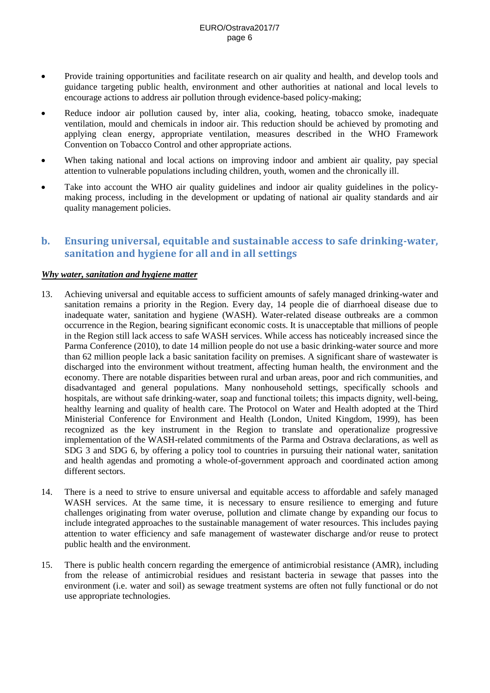- Provide training opportunities and facilitate research on air quality and health, and develop tools and guidance targeting public health, environment and other authorities at national and local levels to encourage actions to address air pollution through evidence-based policy-making;
- Reduce indoor air pollution caused by, inter alia, cooking, heating, tobacco smoke, inadequate ventilation, mould and chemicals in indoor air. This reduction should be achieved by promoting and applying clean energy, appropriate ventilation, measures described in the WHO Framework Convention on Tobacco Control and other appropriate actions.
- When taking national and local actions on improving indoor and ambient air quality, pay special attention to vulnerable populations including children, youth, women and the chronically ill.
- Take into account the WHO air quality guidelines and indoor air quality guidelines in the policymaking process, including in the development or updating of national air quality standards and air quality management policies.

# **b. Ensuring universal, equitable and sustainable access to safe drinking-water, sanitation and hygiene for all and in all settings**

### *Why water, sanitation and hygiene matter*

- 13. Achieving universal and equitable access to sufficient amounts of safely managed drinking-water and sanitation remains a priority in the Region. Every day, 14 people die of diarrhoeal disease due to inadequate water, sanitation and hygiene (WASH). Water-related disease outbreaks are a common occurrence in the Region, bearing significant economic costs. It is unacceptable that millions of people in the Region still lack access to safe WASH services. While access has noticeably increased since the Parma Conference (2010), to date 14 million people do not use a basic drinking-water source and more than 62 million people lack a basic sanitation facility on premises. A significant share of wastewater is discharged into the environment without treatment, affecting human health, the environment and the economy. There are notable disparities between rural and urban areas, poor and rich communities, and disadvantaged and general populations. Many nonhousehold settings, specifically schools and hospitals, are without safe drinking-water, soap and functional toilets; this impacts dignity, well-being, healthy learning and quality of health care. The Protocol on Water and Health adopted at the Third Ministerial Conference for Environment and Health (London, United Kingdom, 1999), has been recognized as the key instrument in the Region to translate and operationalize progressive implementation of the WASH-related commitments of the Parma and Ostrava declarations, as well as SDG 3 and SDG 6, by offering a policy tool to countries in pursuing their national water, sanitation and health agendas and promoting a whole-of-government approach and coordinated action among different sectors.
- 14. There is a need to strive to ensure universal and equitable access to affordable and safely managed WASH services. At the same time, it is necessary to ensure resilience to emerging and future challenges originating from water overuse, pollution and climate change by expanding our focus to include integrated approaches to the sustainable management of water resources. This includes paying attention to water efficiency and safe management of wastewater discharge and/or reuse to protect public health and the environment.
- 15. There is public health concern regarding the emergence of antimicrobial resistance (AMR), including from the release of antimicrobial residues and resistant bacteria in sewage that passes into the environment (i.e. water and soil) as sewage treatment systems are often not fully functional or do not use appropriate technologies.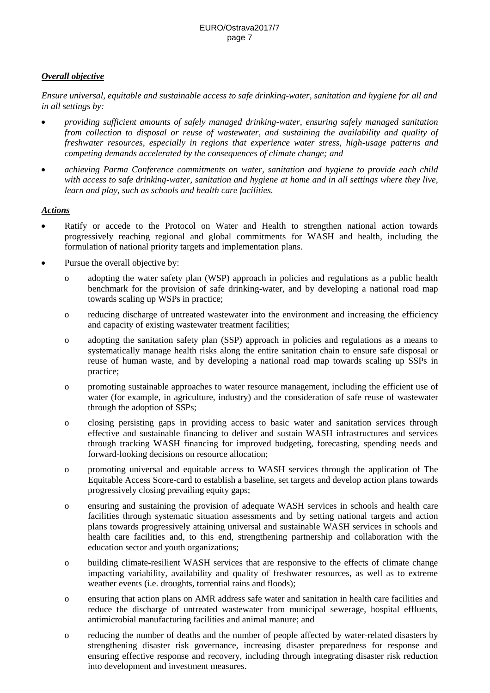### *Overall objective*

*Ensure universal, equitable and sustainable access to safe drinking-water, sanitation and hygiene for all and in all settings by:*

- *providing sufficient amounts of safely managed drinking-water, ensuring safely managed sanitation from collection to disposal or reuse of wastewater, and sustaining the availability and quality of freshwater resources, especially in regions that experience water stress, high-usage patterns and competing demands accelerated by the consequences of climate change; and*
- *achieving Parma Conference commitments on water, sanitation and hygiene to provide each child with access to safe drinking-water, sanitation and hygiene at home and in all settings where they live, learn and play, such as schools and health care facilities.*

- Ratify or accede to the Protocol on Water and Health to strengthen national action towards progressively reaching regional and global commitments for WASH and health, including the formulation of national priority targets and implementation plans.
- Pursue the overall objective by:
	- o adopting the water safety plan (WSP) approach in policies and regulations as a public health benchmark for the provision of safe drinking-water, and by developing a national road map towards scaling up WSPs in practice;
	- o reducing discharge of untreated wastewater into the environment and increasing the efficiency and capacity of existing wastewater treatment facilities;
	- o adopting the sanitation safety plan (SSP) approach in policies and regulations as a means to systematically manage health risks along the entire sanitation chain to ensure safe disposal or reuse of human waste, and by developing a national road map towards scaling up SSPs in practice;
	- o promoting sustainable approaches to water resource management, including the efficient use of water (for example, in agriculture, industry) and the consideration of safe reuse of wastewater through the adoption of SSPs;
	- o closing persisting gaps in providing access to basic water and sanitation services through effective and sustainable financing to deliver and sustain WASH infrastructures and services through tracking WASH financing for improved budgeting, forecasting, spending needs and forward-looking decisions on resource allocation;
	- o promoting universal and equitable access to WASH services through the application of The Equitable Access Score-card to establish a baseline, set targets and develop action plans towards progressively closing prevailing equity gaps;
	- o ensuring and sustaining the provision of adequate WASH services in schools and health care facilities through systematic situation assessments and by setting national targets and action plans towards progressively attaining universal and sustainable WASH services in schools and health care facilities and, to this end, strengthening partnership and collaboration with the education sector and youth organizations;
	- o building climate-resilient WASH services that are responsive to the effects of climate change impacting variability, availability and quality of freshwater resources, as well as to extreme weather events (i.e. droughts, torrential rains and floods);
	- o ensuring that action plans on AMR address safe water and sanitation in health care facilities and reduce the discharge of untreated wastewater from municipal sewerage, hospital effluents, antimicrobial manufacturing facilities and animal manure; and
	- o reducing the number of deaths and the number of people affected by water-related disasters by strengthening disaster risk governance, increasing disaster preparedness for response and ensuring effective response and recovery, including through integrating disaster risk reduction into development and investment measures.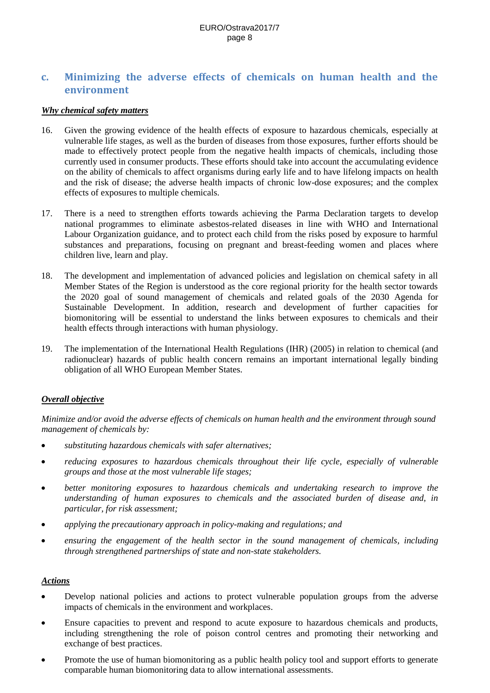# **c. Minimizing the adverse effects of chemicals on human health and the environment**

### *Why chemical safety matters*

- 16. Given the growing evidence of the health effects of exposure to hazardous chemicals, especially at vulnerable life stages, as well as the burden of diseases from those exposures, further efforts should be made to effectively protect people from the negative health impacts of chemicals, including those currently used in consumer products. These efforts should take into account the accumulating evidence on the ability of chemicals to affect organisms during early life and to have lifelong impacts on health and the risk of disease; the adverse health impacts of chronic low-dose exposures; and the complex effects of exposures to multiple chemicals.
- 17. There is a need to strengthen efforts towards achieving the Parma Declaration targets to develop national programmes to eliminate asbestos-related diseases in line with WHO and International Labour Organization guidance, and to protect each child from the risks posed by exposure to harmful substances and preparations, focusing on pregnant and breast-feeding women and places where children live, learn and play.
- 18. The development and implementation of advanced policies and legislation on chemical safety in all Member States of the Region is understood as the core regional priority for the health sector towards the 2020 goal of sound management of chemicals and related goals of the 2030 Agenda for Sustainable Development. In addition, research and development of further capacities for biomonitoring will be essential to understand the links between exposures to chemicals and their health effects through interactions with human physiology.
- 19. The implementation of the International Health Regulations (IHR) (2005) in relation to chemical (and radionuclear) hazards of public health concern remains an important international legally binding obligation of all WHO European Member States.

#### *Overall objective*

*Minimize and/or avoid the adverse effects of chemicals on human health and the environment through sound management of chemicals by:*

- *substituting hazardous chemicals with safer alternatives;*
- *reducing exposures to hazardous chemicals throughout their life cycle, especially of vulnerable groups and those at the most vulnerable life stages;*
- *better monitoring exposures to hazardous chemicals and undertaking research to improve the understanding of human exposures to chemicals and the associated burden of disease and, in particular, for risk assessment;*
- *applying the precautionary approach in policy-making and regulations; and*
- *ensuring the engagement of the health sector in the sound management of chemicals, including through strengthened partnerships of state and non-state stakeholders.*

- Develop national policies and actions to protect vulnerable population groups from the adverse impacts of chemicals in the environment and workplaces.
- Ensure capacities to prevent and respond to acute exposure to hazardous chemicals and products, including strengthening the role of poison control centres and promoting their networking and exchange of best practices.
- Promote the use of human biomonitoring as a public health policy tool and support efforts to generate comparable human biomonitoring data to allow international assessments.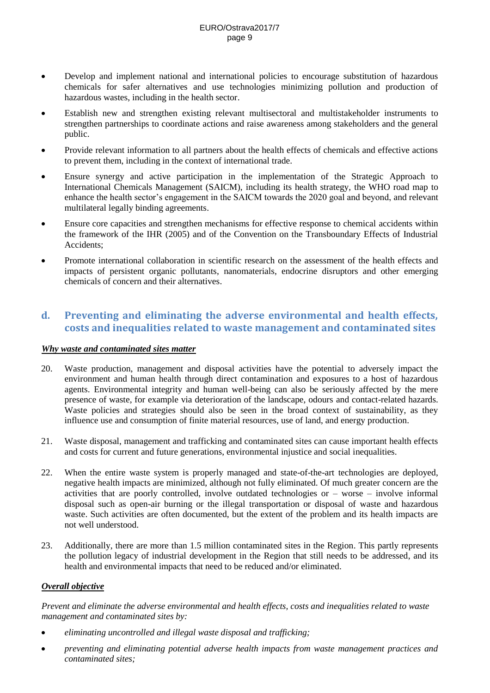- Develop and implement national and international policies to encourage substitution of hazardous chemicals for safer alternatives and use technologies minimizing pollution and production of hazardous wastes, including in the health sector.
- Establish new and strengthen existing relevant multisectoral and multistakeholder instruments to strengthen partnerships to coordinate actions and raise awareness among stakeholders and the general public.
- Provide relevant information to all partners about the health effects of chemicals and effective actions to prevent them, including in the context of international trade.
- Ensure synergy and active participation in the implementation of the Strategic Approach to International Chemicals Management (SAICM), including its health strategy, the WHO road map to enhance the health sector's engagement in the SAICM towards the 2020 goal and beyond, and relevant multilateral legally binding agreements.
- Ensure core capacities and strengthen mechanisms for effective response to chemical accidents within the framework of the IHR (2005) and of the Convention on the Transboundary Effects of Industrial Accidents;
- Promote international collaboration in scientific research on the assessment of the health effects and impacts of persistent organic pollutants, nanomaterials, endocrine disruptors and other emerging chemicals of concern and their alternatives.

# **d. Preventing and eliminating the adverse environmental and health effects, costs and inequalities related to waste management and contaminated sites**

### *Why waste and contaminated sites matter*

- 20. Waste production, management and disposal activities have the potential to adversely impact the environment and human health through direct contamination and exposures to a host of hazardous agents. Environmental integrity and human well-being can also be seriously affected by the mere presence of waste, for example via deterioration of the landscape, odours and contact-related hazards. Waste policies and strategies should also be seen in the broad context of sustainability, as they influence use and consumption of finite material resources, use of land, and energy production.
- 21. Waste disposal, management and trafficking and contaminated sites can cause important health effects and costs for current and future generations, environmental injustice and social inequalities.
- 22. When the entire waste system is properly managed and state-of-the-art technologies are deployed, negative health impacts are minimized, although not fully eliminated. Of much greater concern are the activities that are poorly controlled, involve outdated technologies or – worse – involve informal disposal such as open-air burning or the illegal transportation or disposal of waste and hazardous waste. Such activities are often documented, but the extent of the problem and its health impacts are not well understood.
- 23. Additionally, there are more than 1.5 million contaminated sites in the Region. This partly represents the pollution legacy of industrial development in the Region that still needs to be addressed, and its health and environmental impacts that need to be reduced and/or eliminated.

### *Overall objective*

*Prevent and eliminate the adverse environmental and health effects, costs and inequalities related to waste management and contaminated sites by:*

- *eliminating uncontrolled and illegal waste disposal and trafficking;*
- *preventing and eliminating potential adverse health impacts from waste management practices and contaminated sites;*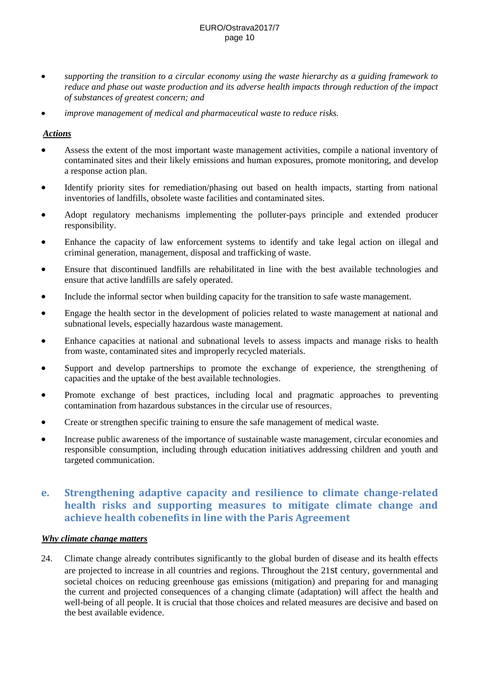- *supporting the transition to a circular economy using the waste hierarchy as a guiding framework to reduce and phase out waste production and its adverse health impacts through reduction of the impact of substances of greatest concern; and*
- *improve management of medical and pharmaceutical waste to reduce risks.*

### *Actions*

- Assess the extent of the most important waste management activities, compile a national inventory of contaminated sites and their likely emissions and human exposures, promote monitoring, and develop a response action plan.
- Identify priority sites for remediation/phasing out based on health impacts, starting from national inventories of landfills, obsolete waste facilities and contaminated sites.
- Adopt regulatory mechanisms implementing the polluter-pays principle and extended producer responsibility.
- Enhance the capacity of law enforcement systems to identify and take legal action on illegal and criminal generation, management, disposal and trafficking of waste.
- Ensure that discontinued landfills are rehabilitated in line with the best available technologies and ensure that active landfills are safely operated.
- Include the informal sector when building capacity for the transition to safe waste management.
- Engage the health sector in the development of policies related to waste management at national and subnational levels, especially hazardous waste management.
- Enhance capacities at national and subnational levels to assess impacts and manage risks to health from waste, contaminated sites and improperly recycled materials.
- Support and develop partnerships to promote the exchange of experience, the strengthening of capacities and the uptake of the best available technologies.
- Promote exchange of best practices, including local and pragmatic approaches to preventing contamination from hazardous substances in the circular use of resources.
- Create or strengthen specific training to ensure the safe management of medical waste.
- Increase public awareness of the importance of sustainable waste management, circular economies and responsible consumption, including through education initiatives addressing children and youth and targeted communication.

# **e. Strengthening adaptive capacity and resilience to climate change-related health risks and supporting measures to mitigate climate change and achieve health cobenefits in line with the Paris Agreement**

### *Why climate change matters*

24. Climate change already contributes significantly to the global burden of disease and its health effects are projected to increase in all countries and regions. Throughout the 21st century, governmental and societal choices on reducing greenhouse gas emissions (mitigation) and preparing for and managing the current and projected consequences of a changing climate (adaptation) will affect the health and well-being of all people. It is crucial that those choices and related measures are decisive and based on the best available evidence.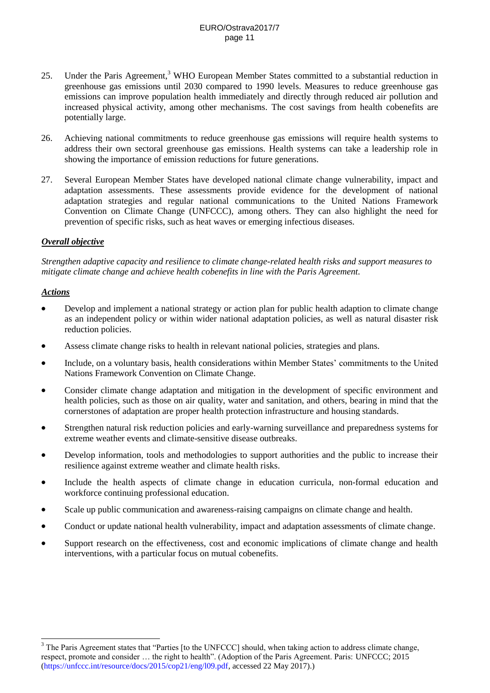- 25. Under the Paris Agreement,<sup>3</sup> WHO European Member States committed to a substantial reduction in greenhouse gas emissions until 2030 compared to 1990 levels. Measures to reduce greenhouse gas emissions can improve population health immediately and directly through reduced air pollution and increased physical activity, among other mechanisms. The cost savings from health cobenefits are potentially large.
- 26. Achieving national commitments to reduce greenhouse gas emissions will require health systems to address their own sectoral greenhouse gas emissions. Health systems can take a leadership role in showing the importance of emission reductions for future generations.
- 27. Several European Member States have developed national climate change vulnerability, impact and adaptation assessments. These assessments provide evidence for the development of national adaptation strategies and regular national communications to the United Nations Framework Convention on Climate Change (UNFCCC), among others. They can also highlight the need for prevention of specific risks, such as heat waves or emerging infectious diseases.

### *Overall objective*

*Strengthen adaptive capacity and resilience to climate change-related health risks and support measures to mitigate climate change and achieve health cobenefits in line with the Paris Agreement.*

### *Actions*

 $\overline{a}$ 

- Develop and implement a national strategy or action plan for public health adaption to climate change as an independent policy or within wider national adaptation policies, as well as natural disaster risk reduction policies.
- Assess climate change risks to health in relevant national policies, strategies and plans.
- Include, on a voluntary basis, health considerations within Member States' commitments to the United Nations Framework Convention on Climate Change.
- Consider climate change adaptation and mitigation in the development of specific environment and health policies, such as those on air quality, water and sanitation, and others, bearing in mind that the cornerstones of adaptation are proper health protection infrastructure and housing standards.
- Strengthen natural risk reduction policies and early-warning surveillance and preparedness systems for extreme weather events and climate-sensitive disease outbreaks.
- Develop information, tools and methodologies to support authorities and the public to increase their resilience against extreme weather and climate health risks.
- Include the health aspects of climate change in education curricula, non-formal education and workforce continuing professional education.
- Scale up public communication and awareness-raising campaigns on climate change and health.
- Conduct or update national health vulnerability, impact and adaptation assessments of climate change.
- Support research on the effectiveness, cost and economic implications of climate change and health interventions, with a particular focus on mutual cobenefits.

<sup>&</sup>lt;sup>3</sup> The Paris Agreement states that "Parties [to the UNFCCC] should, when taking action to address climate change, respect, promote and consider … the right to health". (Adoption of the Paris Agreement. Paris: UNFCCC; 2015 [\(https://unfccc.int/resource/docs/2015/cop21/eng/l09.pdf,](https://unfccc.int/resource/docs/2015/cop21/eng/l09.pdf) accessed 22 May 2017).)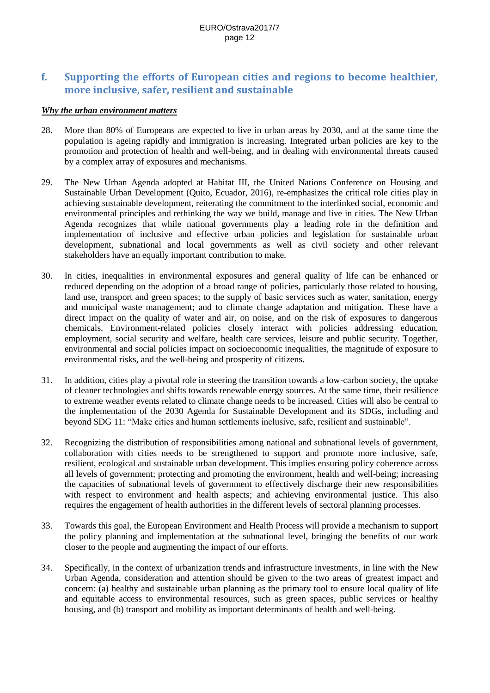# **f. Supporting the efforts of European cities and regions to become healthier, more inclusive, safer, resilient and sustainable**

### *Why the urban environment matters*

- 28. More than 80% of Europeans are expected to live in urban areas by 2030, and at the same time the population is ageing rapidly and immigration is increasing. Integrated urban policies are key to the promotion and protection of health and well-being, and in dealing with environmental threats caused by a complex array of exposures and mechanisms.
- 29. The New Urban Agenda adopted at Habitat III, the United Nations Conference on Housing and Sustainable Urban Development (Quito, Ecuador, 2016), re-emphasizes the critical role cities play in achieving sustainable development, reiterating the commitment to the interlinked social, economic and environmental principles and rethinking the way we build, manage and live in cities. The New Urban Agenda recognizes that while national governments play a leading role in the definition and implementation of inclusive and effective urban policies and legislation for sustainable urban development, subnational and local governments as well as civil society and other relevant stakeholders have an equally important contribution to make*.*
- 30. In cities, inequalities in environmental exposures and general quality of life can be enhanced or reduced depending on the adoption of a broad range of policies, particularly those related to housing, land use, transport and green spaces; to the supply of basic services such as water, sanitation, energy and municipal waste management; and to climate change adaptation and mitigation. These have a direct impact on the quality of water and air, on noise, and on the risk of exposures to dangerous chemicals. Environment-related policies closely interact with policies addressing education, employment, social security and welfare, health care services, leisure and public security. Together, environmental and social policies impact on socioeconomic inequalities, the magnitude of exposure to environmental risks, and the well-being and prosperity of citizens.
- 31. In addition, cities play a pivotal role in steering the transition towards a low-carbon society, the uptake of cleaner technologies and shifts towards renewable energy sources. At the same time, their resilience to extreme weather events related to climate change needs to be increased. Cities will also be central to the implementation of the 2030 Agenda for Sustainable Development and its SDGs, including and beyond SDG 11: "Make cities and human settlements inclusive, safe, resilient and sustainable".
- 32. Recognizing the distribution of responsibilities among national and subnational levels of government, collaboration with cities needs to be strengthened to support and promote more inclusive, safe, resilient, ecological and sustainable urban development. This implies ensuring policy coherence across all levels of government; protecting and promoting the environment, health and well-being; increasing the capacities of subnational levels of government to effectively discharge their new responsibilities with respect to environment and health aspects; and achieving environmental justice. This also requires the engagement of health authorities in the different levels of sectoral planning processes.
- 33. Towards this goal, the European Environment and Health Process will provide a mechanism to support the policy planning and implementation at the subnational level, bringing the benefits of our work closer to the people and augmenting the impact of our efforts.
- 34. Specifically, in the context of urbanization trends and infrastructure investments, in line with the New Urban Agenda, consideration and attention should be given to the two areas of greatest impact and concern: (a) healthy and sustainable urban planning as the primary tool to ensure local quality of life and equitable access to environmental resources, such as green spaces, public services or healthy housing, and (b) transport and mobility as important determinants of health and well-being.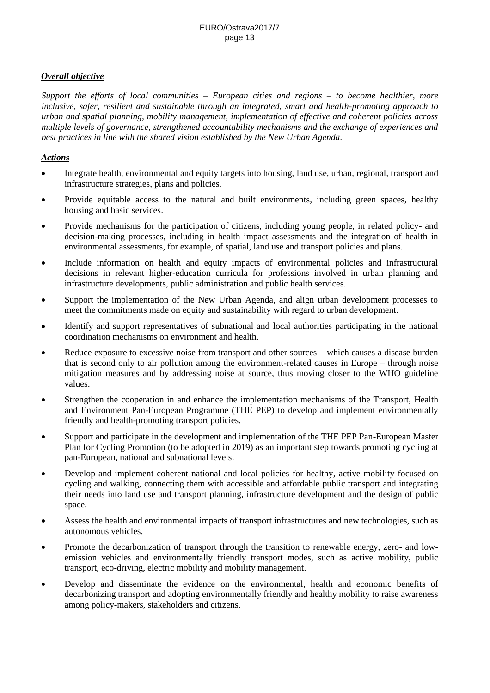### *Overall objective*

*Support the efforts of local communities – European cities and regions – to become healthier, more inclusive, safer, resilient and sustainable through an integrated, smart and health-promoting approach to urban and spatial planning, mobility management, implementation of effective and coherent policies across multiple levels of governance, strengthened accountability mechanisms and the exchange of experiences and best practices in line with the shared vision established by the New Urban Agenda.*

- Integrate health, environmental and equity targets into housing, land use, urban, regional, transport and infrastructure strategies, plans and policies.
- Provide equitable access to the natural and built environments, including green spaces, healthy housing and basic services.
- Provide mechanisms for the participation of citizens, including young people, in related policy- and decision-making processes, including in health impact assessments and the integration of health in environmental assessments, for example, of spatial, land use and transport policies and plans.
- Include information on health and equity impacts of environmental policies and infrastructural decisions in relevant higher-education curricula for professions involved in urban planning and infrastructure developments, public administration and public health services.
- Support the implementation of the New Urban Agenda, and align urban development processes to meet the commitments made on equity and sustainability with regard to urban development.
- Identify and support representatives of subnational and local authorities participating in the national coordination mechanisms on environment and health.
- Reduce exposure to excessive noise from transport and other sources which causes a disease burden that is second only to air pollution among the environment-related causes in Europe – through noise mitigation measures and by addressing noise at source, thus moving closer to the WHO guideline values.
- Strengthen the cooperation in and enhance the implementation mechanisms of the Transport, Health and Environment Pan-European Programme (THE PEP) to develop and implement environmentally friendly and health-promoting transport policies.
- Support and participate in the development and implementation of the THE PEP Pan-European Master Plan for Cycling Promotion (to be adopted in 2019) as an important step towards promoting cycling at pan-European, national and subnational levels.
- Develop and implement coherent national and local policies for healthy, active mobility focused on cycling and walking, connecting them with accessible and affordable public transport and integrating their needs into land use and transport planning, infrastructure development and the design of public space.
- Assess the health and environmental impacts of transport infrastructures and new technologies, such as autonomous vehicles.
- Promote the decarbonization of transport through the transition to renewable energy, zero- and lowemission vehicles and environmentally friendly transport modes, such as active mobility, public transport, eco-driving, electric mobility and mobility management.
- Develop and disseminate the evidence on the environmental, health and economic benefits of decarbonizing transport and adopting environmentally friendly and healthy mobility to raise awareness among policy-makers, stakeholders and citizens.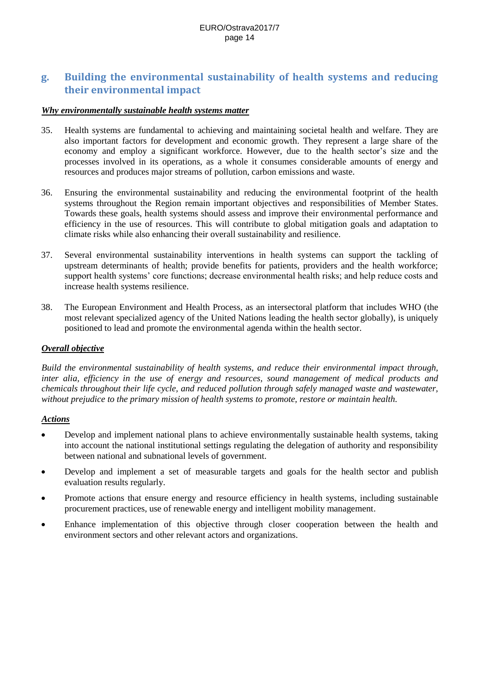# **g. Building the environmental sustainability of health systems and reducing their environmental impact**

### *Why environmentally sustainable health systems matter*

- 35. Health systems are fundamental to achieving and maintaining societal health and welfare. They are also important factors for development and economic growth. They represent a large share of the economy and employ a significant workforce. However, due to the health sector's size and the processes involved in its operations, as a whole it consumes considerable amounts of energy and resources and produces major streams of pollution, carbon emissions and waste.
- 36. Ensuring the environmental sustainability and reducing the environmental footprint of the health systems throughout the Region remain important objectives and responsibilities of Member States. Towards these goals, health systems should assess and improve their environmental performance and efficiency in the use of resources. This will contribute to global mitigation goals and adaptation to climate risks while also enhancing their overall sustainability and resilience.
- 37. Several environmental sustainability interventions in health systems can support the tackling of upstream determinants of health; provide benefits for patients, providers and the health workforce; support health systems' core functions; decrease environmental health risks; and help reduce costs and increase health systems resilience.
- 38. The European Environment and Health Process, as an intersectoral platform that includes WHO (the most relevant specialized agency of the United Nations leading the health sector globally), is uniquely positioned to lead and promote the environmental agenda within the health sector.

#### *Overall objective*

*Build the environmental sustainability of health systems, and reduce their environmental impact through, inter alia, efficiency in the use of energy and resources, sound management of medical products and chemicals throughout their life cycle, and reduced pollution through safely managed waste and wastewater, without prejudice to the primary mission of health systems to promote, restore or maintain health.*

- Develop and implement national plans to achieve environmentally sustainable health systems, taking into account the national institutional settings regulating the delegation of authority and responsibility between national and subnational levels of government.
- Develop and implement a set of measurable targets and goals for the health sector and publish evaluation results regularly.
- Promote actions that ensure energy and resource efficiency in health systems, including sustainable procurement practices, use of renewable energy and intelligent mobility management.
- Enhance implementation of this objective through closer cooperation between the health and environment sectors and other relevant actors and organizations.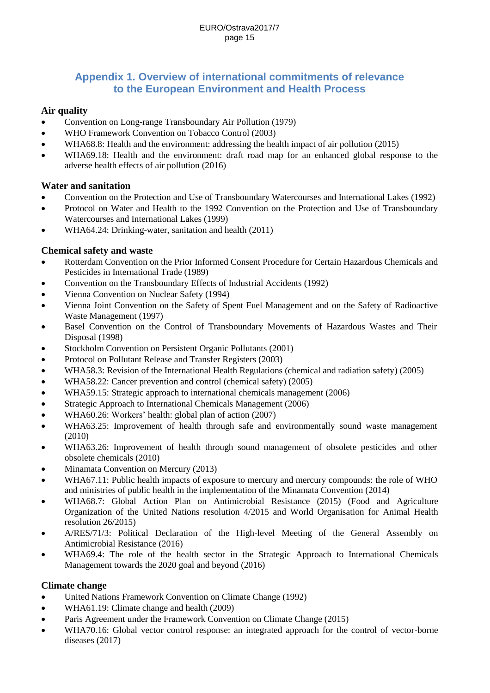# **Appendix 1. Overview of international commitments of relevance to the European Environment and Health Process**

### **Air quality**

- Convention on Long-range Transboundary Air Pollution (1979)
- WHO Framework Convention on Tobacco Control (2003)
- WHA68.8: Health and the environment: addressing the health impact of air pollution (2015)
- WHA69.18: Health and the environment: draft road map for an enhanced global response to the adverse health effects of air pollution (2016)

### **Water and sanitation**

- Convention on the Protection and Use of Transboundary Watercourses and International Lakes (1992)
- Protocol on Water and Health to the 1992 Convention on the Protection and Use of Transboundary Watercourses and International Lakes (1999)
- WHA64.24: Drinking-water, sanitation and health (2011)

## **Chemical safety and waste**

- Rotterdam Convention on the Prior Informed Consent Procedure for Certain Hazardous Chemicals and Pesticides in International Trade (1989)
- Convention on the Transboundary Effects of Industrial Accidents (1992)
- Vienna Convention on Nuclear Safety (1994)
- Vienna Joint Convention on the Safety of Spent Fuel Management and on the Safety of Radioactive Waste Management (1997)
- Basel Convention on the Control of Transboundary Movements of Hazardous Wastes and Their Disposal (1998)
- Stockholm Convention on Persistent Organic Pollutants (2001)
- Protocol on Pollutant Release and Transfer Registers (2003)
- WHA58.3: Revision of the International Health Regulations (chemical and radiation safety) (2005)
- WHA58.22: Cancer prevention and control (chemical safety) (2005)
- WHA59.15: Strategic approach to international chemicals management (2006)
- Strategic Approach to International Chemicals Management (2006)
- WHA60.26: Workers' health: global plan of action (2007)
- WHA63.25: Improvement of health through safe and environmentally sound waste management (2010)
- WHA63.26: Improvement of health through sound management of obsolete pesticides and other obsolete chemicals (2010)
- Minamata Convention on Mercury (2013)
- WHA67.11: Public health impacts of exposure to mercury and mercury compounds: the role of WHO and ministries of public health in the implementation of the Minamata Convention (2014)
- WHA68.7: Global Action Plan on Antimicrobial Resistance (2015) (Food and Agriculture Organization of the United Nations resolution 4/2015 and World Organisation for Animal Health resolution 26/2015)
- A/RES/71/3: Political Declaration of the High-level Meeting of the General Assembly on Antimicrobial Resistance (2016)
- WHA69.4: The role of the health sector in the Strategic Approach to International Chemicals Management towards the 2020 goal and beyond (2016)

### **Climate change**

- United Nations Framework Convention on Climate Change (1992)
- WHA61.19: Climate change and health (2009)
- Paris Agreement under the Framework Convention on Climate Change (2015)
- WHA70.16: Global vector control response: an integrated approach for the control of vector-borne diseases (2017)